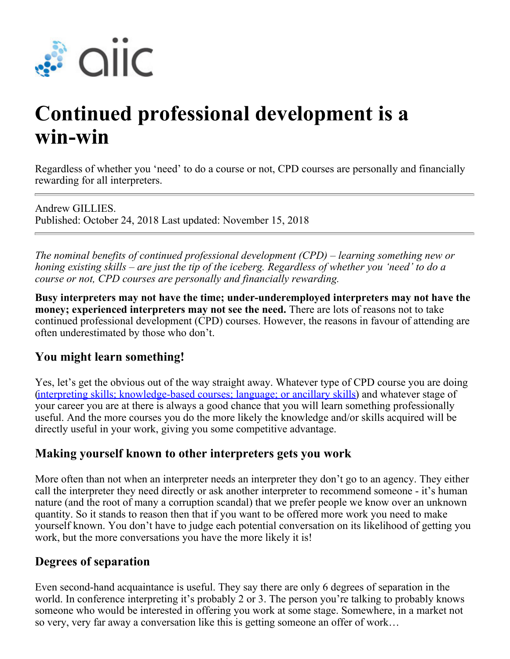

# **Continued professional development is a win-win**

Regardless of whether you 'need' to do a course or not, CPD courses are personally and financially rewarding for all interpreters.

Andrew GILLIES. Published: October 24, 2018 Last updated: November 15, 2018

*The nominal benefits of continued professional development (CPD) – learning something new or honing existing skills – are just the tip of the iceberg. Regardless of whether you 'need' to do a course or not, CPD courses are personally and financially rewarding.*

**Busy interpreters may not have the time; under-underemployed interpreters may not have the money; experienced interpreters may not see the need.** There are lots of reasons not to take continued professional development (CPD) courses. However, the reasons in favour of attending are often underestimated by those who don't.

#### **You might learn something!**

Yes, let's get the obvious out of the way straight away. Whatever type of CPD course you are doing [\(interpreting skills; knowledge-based courses; language; or ancillary skills](https://aiic.net/page/6770)) and whatever stage of your career you are at there is always a good chance that you will learn something professionally useful. And the more courses you do the more likely the knowledge and/or skills acquired will be directly useful in your work, giving you some competitive advantage.

#### **Making yourself known to other interpreters gets you work**

More often than not when an interpreter needs an interpreter they don't go to an agency. They either call the interpreter they need directly or ask another interpreter to recommend someone - it's human nature (and the root of many a corruption scandal) that we prefer people we know over an unknown quantity. So it stands to reason then that if you want to be offered more work you need to make yourself known. You don't have to judge each potential conversation on its likelihood of getting you work, but the more conversations you have the more likely it is!

#### **Degrees of separation**

Even second-hand acquaintance is useful. They say there are only 6 degrees of separation in the world. In conference interpreting it's probably 2 or 3. The person you're talking to probably knows someone who would be interested in offering you work at some stage. Somewhere, in a market not so very, very far away a conversation like this is getting someone an offer of work…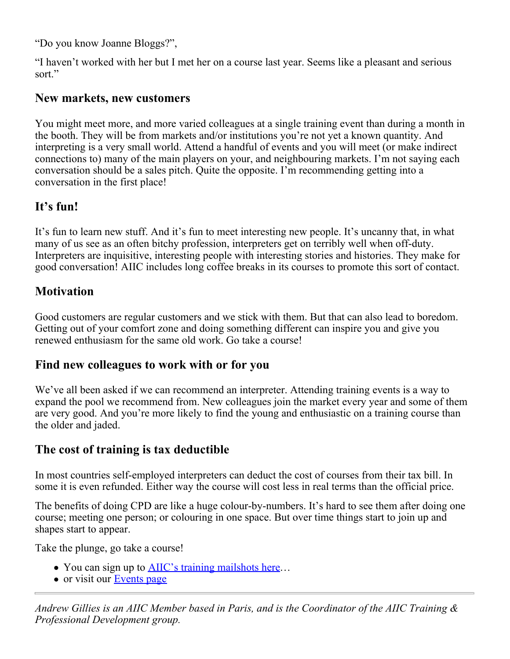"Do you know Joanne Bloggs?",

"I haven't worked with her but I met her on a course last year. Seems like a pleasant and serious sort."

#### **New markets, new customers**

You might meet more, and more varied colleagues at a single training event than during a month in the booth. They will be from markets and/or institutions you're not yet a known quantity. And interpreting is a very small world. Attend a handful of events and you will meet (or make indirect connections to) many of the main players on your, and neighbouring markets. I'm not saying each conversation should be a sales pitch. Quite the opposite. I'm recommending getting into a conversation in the first place!

# **It's fun!**

It's fun to learn new stuff. And it's fun to meet interesting new people. It's uncanny that, in what many of us see as an often bitchy profession, interpreters get on terribly well when off-duty. Interpreters are inquisitive, interesting people with interesting stories and histories. They make for good conversation! AIIC includes long coffee breaks in its courses to promote this sort of contact.

## **Motivation**

Good customers are regular customers and we stick with them. But that can also lead to boredom. Getting out of your comfort zone and doing something different can inspire you and give you renewed enthusiasm for the same old work. Go take a course!

### **Find new colleagues to work with or for you**

We've all been asked if we can recommend an interpreter. Attending training events is a way to expand the pool we recommend from. New colleagues join the market every year and some of them are very good. And you're more likely to find the young and enthusiastic on a training course than the older and jaded.

# **The cost of training is tax deductible**

In most countries self-employed interpreters can deduct the cost of courses from their tax bill. In some it is even refunded. Either way the course will cost less in real terms than the official price.

The benefits of doing CPD are like a huge colour-by-numbers. It's hard to see them after doing one course; meeting one person; or colouring in one space. But over time things start to join up and shapes start to appear.

Take the plunge, go take a course!

- You can sign up to **[AIIC's training mailshots here](https://visitor.r20.constantcontact.com/manage/optin?v=001nubxsEiEYsa6x_fCTL01ds5UIfnRQ6c0AnYZUff3MwPkdaBFEW-yt6BNd70s073FddIw9_52dcxtebre0Lt8ys8tAAfJRN4JLp7TmSpWECs%3D)…**
- or visit our [Events page](http://www.aiic.net/events)

*Andrew Gillies is an AIIC Member based in Paris, and is the Coordinator of the AIIC Training & Professional Development group.*